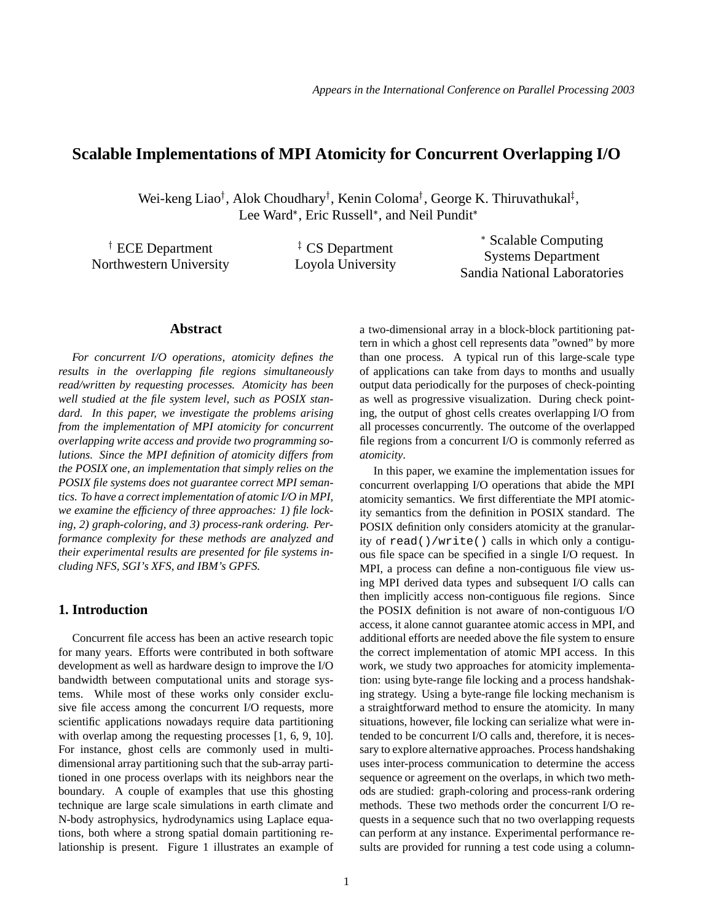# **Scalable Implementations of MPI Atomicity for Concurrent Overlapping I/O**

Wei-keng Liao†, Alok Choudhary†, Kenin Coloma†, George K. Thiruvathukal‡, Lee Ward\*, Eric Russell\*, and Neil Pundit

| <sup>†</sup> ECE Department<br>Northwestern University | <sup>‡</sup> CS Department<br>Loyola University | * Scalable Computing<br><b>Systems Department</b><br><b>Sandia National Laboratories</b> |
|--------------------------------------------------------|-------------------------------------------------|------------------------------------------------------------------------------------------|
|                                                        |                                                 |                                                                                          |

# **Abstract**

*For concurrent I/O operations, atomicity defines the results in the overlapping file regions simultaneously read/written by requesting processes. Atomicity has been well studied at the file system level, such as POSIX standard. In this paper, we investigate the problems arising from the implementation of MPI atomicity for concurrent overlapping write access and provide two programming solutions. Since the MPI definition of atomicity differs from the POSIX one, an implementation that simply relies on the POSIX file systems does not guarantee correct MPI semantics. To have a correctimplementation of atomic I/O in MPI, we examine the efficiency of three approaches: 1) file locking, 2) graph-coloring, and 3) process-rank ordering. Performance complexity for these methods are analyzed and their experimental results are presented for file systems including NFS, SGI's XFS, and IBM's GPFS.*

## **1. Introduction**

Concurrent file access has been an active research topic for many years. Efforts were contributed in both software development as well as hardware design to improve the I/O bandwidth between computational units and storage systems. While most of these works only consider exclusive file access among the concurrent I/O requests, more scientific applications nowadays require data partitioning with overlap among the requesting processes [1, 6, 9, 10]. For instance, ghost cells are commonly used in multidimensional array partitioning such that the sub-array partitioned in one process overlaps with its neighbors near the boundary. A couple of examples that use this ghosting technique are large scale simulations in earth climate and N-body astrophysics, hydrodynamics using Laplace equations, both where a strong spatial domain partitioning relationship is present. Figure 1 illustrates an example of a two-dimensional array in a block-block partitioning pattern in which a ghost cell represents data "owned" by more than one process. A typical run of this large-scale type of applications can take from days to months and usually output data periodically for the purposes of check-pointing as well as progressive visualization. During check pointing, the output of ghost cells creates overlapping I/O from all processes concurrently. The outcome of the overlapped file regions from a concurrent I/O is commonly referred as *atomicity*.

In this paper, we examine the implementation issues for concurrent overlapping I/O operations that abide the MPI atomicity semantics. We first differentiate the MPI atomicity semantics from the definition in POSIX standard. The POSIX definition only considers atomicity at the granularity of read()/write() calls in which only a contiguous file space can be specified in a single I/O request. In MPI, a process can define a non-contiguous file view using MPI derived data types and subsequent I/O calls can then implicitly access non-contiguous file regions. Since the POSIX definition is not aware of non-contiguous I/O access, it alone cannot guarantee atomic access in MPI, and additional efforts are needed above the file system to ensure the correct implementation of atomic MPI access. In this work, we study two approaches for atomicity implementation: using byte-range file locking and a process handshaking strategy. Using a byte-range file locking mechanism is a straightforward method to ensure the atomicity. In many situations, however, file locking can serialize what were intended to be concurrent I/O calls and, therefore, it is necessary to explore alternative approaches. Process handshaking uses inter-process communication to determine the access sequence or agreement on the overlaps, in which two methods are studied: graph-coloring and process-rank ordering methods. These two methods order the concurrent I/O requests in a sequence such that no two overlapping requests can perform at any instance. Experimental performance results are provided for running a test code using a column-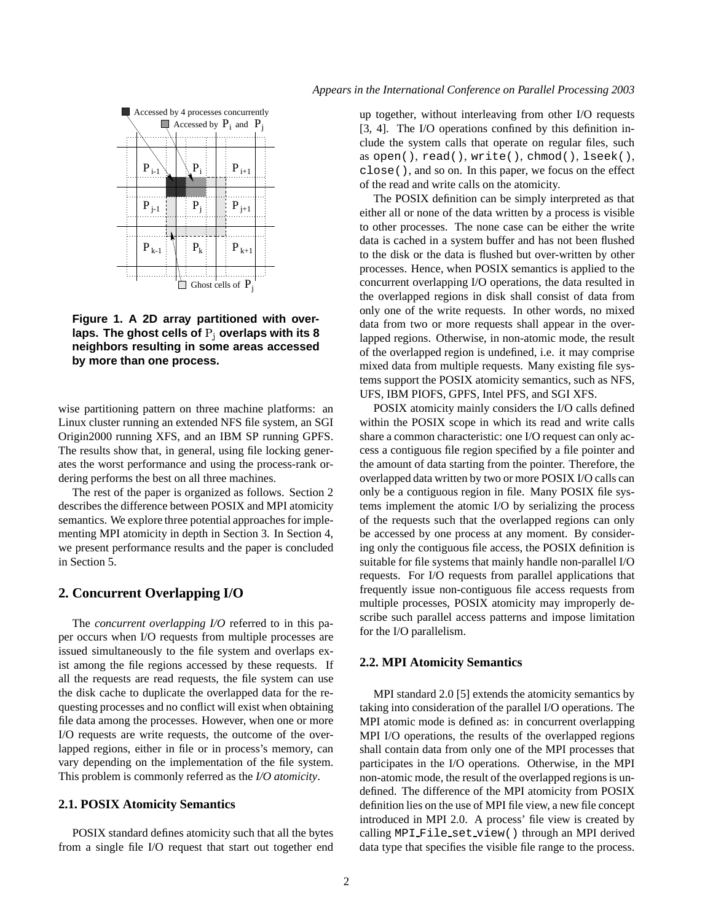



**Figure 1. A 2D array partitioned with overlaps. The ghost cells of overlaps with its 8 neighbors resulting in some areas accessed by more than one process.**

wise partitioning pattern on three machine platforms: an Linux cluster running an extended NFS file system, an SGI Origin2000 running XFS, and an IBM SP running GPFS. The results show that, in general, using file locking generates the worst performance and using the process-rank ordering performs the best on all three machines.

The rest of the paper is organized as follows. Section 2 describes the difference between POSIX and MPI atomicity semantics. We explore three potential approaches for implementing MPI atomicity in depth in Section 3. In Section 4, we present performance results and the paper is concluded in Section 5.

# **2. Concurrent Overlapping I/O**

The *concurrent overlapping I/O* referred to in this paper occurs when I/O requests from multiple processes are issued simultaneously to the file system and overlaps exist among the file regions accessed by these requests. If all the requests are read requests, the file system can use the disk cache to duplicate the overlapped data for the requesting processes and no conflict will exist when obtaining file data among the processes. However, when one or more I/O requests are write requests, the outcome of the overlapped regions, either in file or in process's memory, can vary depending on the implementation of the file system. This problem is commonly referred as the *I/O atomicity*.

### **2.1. POSIX Atomicity Semantics**

POSIX standard defines atomicity such that all the bytes from a single file I/O request that start out together end

up together, without interleaving from other I/O requests [3, 4]. The I/O operations confined by this definition include the system calls that operate on regular files, such as open(), read(), write(), chmod(), lseek(), close(), and so on. In this paper, we focus on the effect of the read and write calls on the atomicity.

The POSIX definition can be simply interpreted as that either all or none of the data written by a process is visible to other processes. The none case can be either the write data is cached in a system buffer and has not been flushed to the disk or the data is flushed but over-written by other processes. Hence, when POSIX semantics is applied to the concurrent overlapping I/O operations, the data resulted in the overlapped regions in disk shall consist of data from only one of the write requests. In other words, no mixed data from two or more requests shall appear in the overlapped regions. Otherwise, in non-atomic mode, the result of the overlapped region is undefined, i.e. it may comprise mixed data from multiple requests. Many existing file systems support the POSIX atomicity semantics, such as NFS, UFS, IBM PIOFS, GPFS, Intel PFS, and SGI XFS.

POSIX atomicity mainly considers the I/O calls defined within the POSIX scope in which its read and write calls share a common characteristic: one I/O request can only access a contiguous file region specified by a file pointer and the amount of data starting from the pointer. Therefore, the overlapped data written by two or more POSIX I/O calls can only be a contiguous region in file. Many POSIX file systems implement the atomic I/O by serializing the process of the requests such that the overlapped regions can only be accessed by one process at any moment. By considering only the contiguous file access, the POSIX definition is suitable for file systems that mainly handle non-parallel I/O requests. For I/O requests from parallel applications that frequently issue non-contiguous file access requests from multiple processes, POSIX atomicity may improperly describe such parallel access patterns and impose limitation for the I/O parallelism.

#### **2.2. MPI Atomicity Semantics**

MPI standard 2.0 [5] extends the atomicity semantics by taking into consideration of the parallel I/O operations. The MPI atomic mode is defined as: in concurrent overlapping MPI I/O operations, the results of the overlapped regions shall contain data from only one of the MPI processes that participates in the I/O operations. Otherwise, in the MPI non-atomic mode, the result of the overlapped regions is undefined. The difference of the MPI atomicity from POSIX definition lies on the use of MPI file view, a new file concept introduced in MPI 2.0. A process' file view is created by calling MPI File set view() through an MPI derived data type that specifies the visible file range to the process.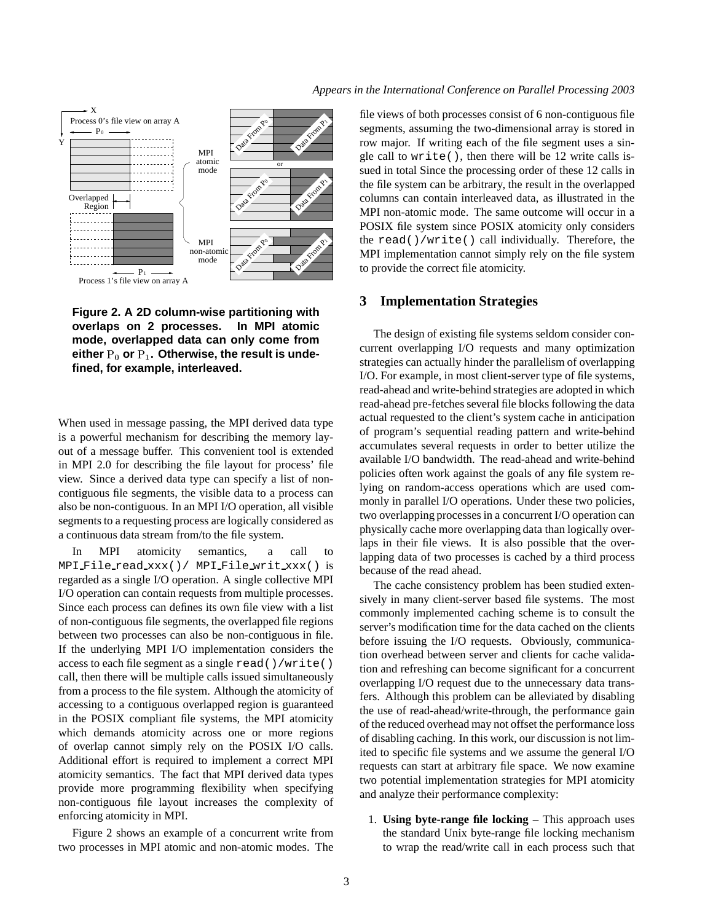

**Figure 2. A 2D column-wise partitioning with overlaps on 2 processes. In MPI atomic mode, overlapped data can only come from** either  $P_0$  or  $P_1$ . Otherwise, the result is unde**fined, for example, interleaved.**

When used in message passing, the MPI derived data type is a powerful mechanism for describing the memory layout of a message buffer. This convenient tool is extended in MPI 2.0 for describing the file layout for process' file view. Since a derived data type can specify a list of noncontiguous file segments, the visible data to a process can also be non-contiguous. In an MPI I/O operation, all visible segments to a requesting process are logically considered as a continuous data stream from/to the file system.

In MPI atomicity semantics, a call to MPI File read xxx()/ MPI File writ xxx() is regarded as a single I/O operation. A single collective MPI I/O operation can contain requests from multiple processes. Since each process can defines its own file view with a list of non-contiguous file segments, the overlapped file regions between two processes can also be non-contiguous in file. If the underlying MPI I/O implementation considers the access to each file segment as a single read()/write() call, then there will be multiple calls issued simultaneously from a process to the file system. Although the atomicity of accessing to a contiguous overlapped region is guaranteed in the POSIX compliant file systems, the MPI atomicity which demands atomicity across one or more regions of overlap cannot simply rely on the POSIX I/O calls. Additional effort is required to implement a correct MPI atomicity semantics. The fact that MPI derived data types provide more programming flexibility when specifying non-contiguous file layout increases the complexity of enforcing atomicity in MPI.

Figure 2 shows an example of a concurrent write from two processes in MPI atomic and non-atomic modes. The

file views of both processes consist of  $6$  non-contiguous file segments, assuming the two-dimensional array is stored in row major. If writing each of the file segment uses a single call to write(), then there will be 12 write calls issued in total Since the processing order of these 12 calls in the file system can be arbitrary, the result in the overlapped columns can contain interleaved data, as illustrated in the MPI non-atomic mode. The same outcome will occur in a POSIX file system since POSIX atomicity only considers the read()/write() call individually. Therefore, the MPI implementation cannot simply rely on the file system to provide the correct file atomicity.

## **3 Implementation Strategies**

The design of existing file systems seldom consider concurrent overlapping I/O requests and many optimization strategies can actually hinder the parallelism of overlapping I/O. For example, in most client-server type of file systems, read-ahead and write-behind strategies are adopted in which read-ahead pre-fetches several file blocks following the data actual requested to the client's system cache in anticipation of program's sequential reading pattern and write-behind accumulates several requests in order to better utilize the available I/O bandwidth. The read-ahead and write-behind policies often work against the goals of any file system relying on random-access operations which are used commonly in parallel I/O operations. Under these two policies, two overlapping processesin a concurrent I/O operation can physically cache more overlapping data than logically overlaps in their file views. It is also possible that the overlapping data of two processes is cached by a third process because of the read ahead.

The cache consistency problem has been studied extensively in many client-server based file systems. The most commonly implemented caching scheme is to consult the server's modification time for the data cached on the clients before issuing the I/O requests. Obviously, communication overhead between server and clients for cache validation and refreshing can become significant for a concurrent overlapping I/O request due to the unnecessary data transfers. Although this problem can be alleviated by disabling the use of read-ahead/write-through, the performance gain of the reduced overhead may not offsetthe performance loss of disabling caching. In this work, our discussion is notlimited to specific file systems and we assume the general I/O requests can start at arbitrary file space. We now examine two potential implementation strategies for MPI atomicity and analyze their performance complexity:

1. **Using byte-range file locking** – This approach uses the standard Unix byte-range file locking mechanism to wrap the read/write call in each process such that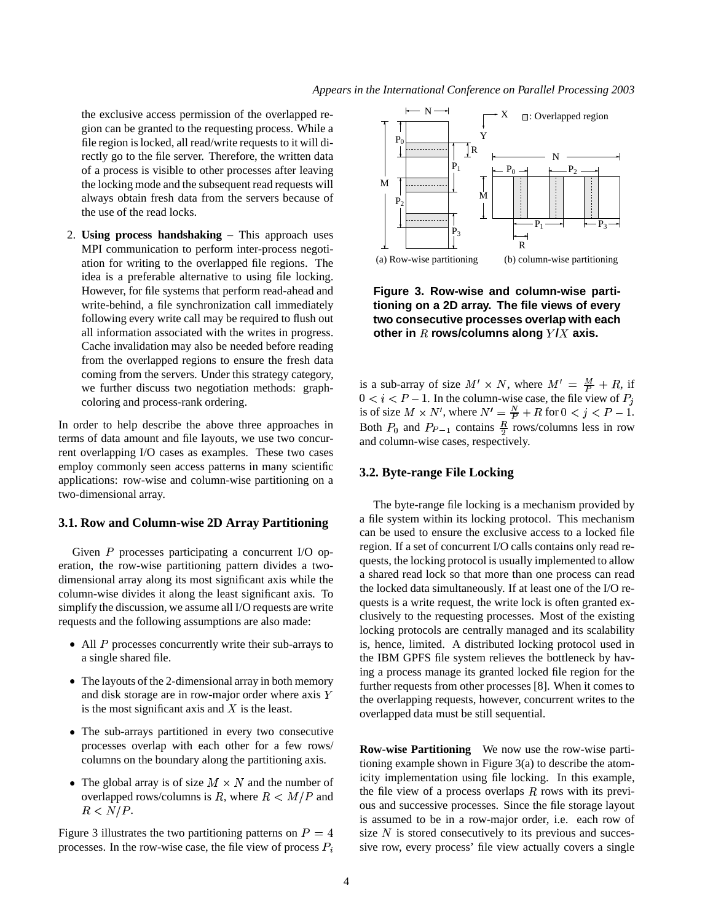the exclusive access permission of the overlapped region can be granted to the requesting process. While a file region is locked, all read/write requests to it will directly go to the file server. Therefore, the written data of a process is visible to other processes after leaving the locking mode and the subsequent read requests will always obtain fresh data from the servers because of the use of the read locks.

2. **Using process handshaking** – This approach uses MPI communication to perform inter-process negotiation for writing to the overlapped file regions. The idea is a preferable alternative to using file locking. However, for file systems that perform read-ahead and write-behind, a file synchronization call immediately following every write call may be required to flush out all information associated with the writes in progress. Cache invalidation may also be needed before reading from the overlapped regions to ensure the fresh data coming from the servers. Under this strategy category, we further discuss two negotiation methods: graphcoloring and process-rank ordering.

In order to help describe the above three approaches in terms of data amount and file layouts, we use two concurrent overlapping I/O cases as examples. These two cases employ commonly seen access patterns in many scientific applications: row-wise and column-wise partitioning on a two-dimensional array.

#### **3.1. Row and Column-wise 2D Array Partitioning**

Given  $P$  processes participating a concurrent I/O operation, the row-wise partitioning pattern divides a twodimensional array along its most significant axis while the column-wise divides it along the least significant axis. To simplify the discussion, we assume all I/O requests are write requests and the following assumptions are also made:

- $\bullet$  All P processes concurrently write their sub-arrays to a single shared file.
- The layouts of the 2-dimensional array in both memory and disk storage are in row-major order where axis  $Y$ is the most significant axis and  $X$  is the least.
- The sub-arrays partitioned in every two consecutive processes overlap with each other for a few rows/ columns on the boundary along the partitioning axis.
- The global array is of size  $M \times N$  and the number of overlapped rows/columns is R, where  $R < M/P$  and  $\Box$  $R < N/P$ .

Figure 3 illustrates the two partitioning patterns on  $P =$ processes. In the row-wise case, the file view of process  $P$ 



**Figure 3. Row-wise and column-wise partitioning on a 2D array. The file views of every two consecutive processes overlap with each** other in  $R$  rows/columns along  $Y/X$  axis.

is a sub-array of size  $M' \times N$ , where  $M' = \frac{M}{P} + R$ , if  $0 < i < P-1$ . In the column-wise case, the file view of  $P_i$ is of size  $M \times N'$ , where  $N' = \frac{N}{P} + R$  for  $0 < j < P - 1$ . Both  $P_0$  and  $P_{P-1}$  contains  $\frac{R}{2}$  rows/columns less in row and column-wise cases, respectively.

### **3.2. Byte-range File Locking**

The byte-range file locking is a mechanism provided by a file system within its locking protocol. This mechanism can be used to ensure the exclusive access to a locked file region. If a set of concurrent I/O calls contains only read requests, the locking protocol is usually implemented to allow a shared read lock so that more than one process can read the locked data simultaneously. If at least one of the I/O requests is a write request, the write lock is often granted exclusively to the requesting processes. Most of the existing locking protocols are centrally managed and its scalability is, hence, limited. A distributed locking protocol used in the IBM GPFS file system relieves the bottleneck by having a process manage its granted locked file region for the further requests from other processes [8]. When it comes to the overlapping requests, however, concurrent writes to the overlapped data must be still sequential.

size  $N$  is stored consecutively to its previous and succes-**Row-wise Partitioning** We now use the row-wise partitioning example shown in Figure 3(a) to describe the atomicity implementation using file locking. In this example, the file view of a process overlaps  $R$  rows with its previous and successive processes. Since the file storage layout is assumed to be in a row-major order, i.e. each row of sive row, every process' file view actually covers a single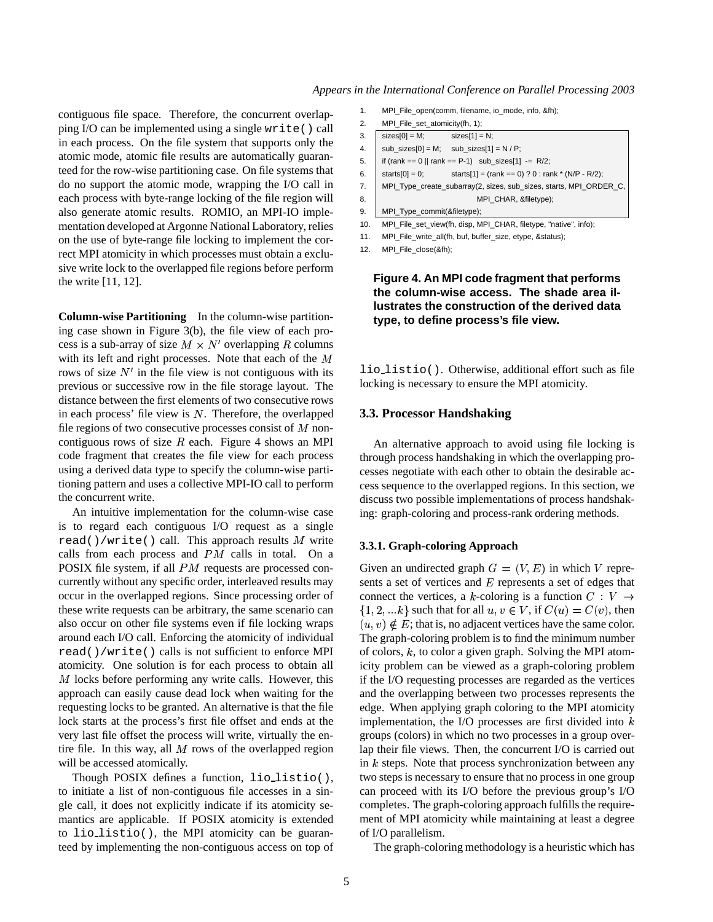contiguous file space. Therefore, the concurrent overlapping I/O can be implemented using a single write() call in each process. On the file system that supports only the atomic mode, atomic file results are automatically guaranteed for the row-wise partitioning case. On file systems that do no support the atomic mode, wrapping the I/O call in each process with byte-range locking of the file region will also generate atomic results. ROMIO, an MPI-IO implementation developed at Argonne National Laboratory, relies on the use of byte-range file locking to implement the correct MPI atomicity in which processes must obtain a exclusive write lock to the overlapped file regions before perform the write [11, 12].

**Column-wise Partitioning** In the column-wise partitioning case shown in Figure 3(b), the file view of each process is a sub-array of size  $M \times N'$  overlapping R columns with its left and right processes. Note that each of the  $M$ rows of size  $N'$  in the file view is not contiguous with its previous or successive row in the file storage layout. The distance between the first elements of two consecutive rows in each process' file view is  $N$ . Therefore, the overlapped file regions of two consecutive processes consist of  $M$  noncontiguous rows of size  $R$  each. Figure 4 shows an MPI code fragment that creates the file view for each process using a derived data type to specify the column-wise partitioning pattern and uses a collective MPI-IO call to perform the concurrent write.

An intuitive implementation for the column-wise case is to regard each contiguous I/O request as a single read()/write() call. This approach results M write calls from each process and  $PM$  calls in total. On a POSIX file system, if all  $PM$  requests are processed concurrently without any specific order, interleaved results may occur in the overlapped regions. Since processing order of these write requests can be arbitrary, the same scenario can also occur on other file systems even if file locking wraps around each I/O call. Enforcing the atomicity of individual read()/write() calls is not sufficient to enforce MPI atomicity. One solution is for each process to obtain all  $M$  locks before performing any write calls. However, this approach can easily cause dead lock when waiting for the requesting locks to be granted. An alternative is that the file lock starts at the process's first file offset and ends at the very last file offset the process will write, virtually the entire file. In this way, all  $M$  rows of the overlapped region will be accessed atomically.

Though POSIX defines a function, lio\_listio(), to initiate a list of non-contiguous file accesses in a single call, it does not explicitly indicate if its atomicity semantics are applicable. If POSIX atomicity is extended to lio listio(), the MPI atomicity can be guaranteed by implementing the non-contiguous access on top of

- MPI\_File\_open(comm, filename, io\_mode, info, &fh); 1.
- MPI\_File\_set\_atomicity(fh, 1); 2.
- $sizes[0] = M;$  $sizes[1] = N;$ 3.
- sub\_sizes $[0] = M$ ; sub\_sizes $[1] = N / P$ ; 4.
- 
- if (rank ==  $0$  || rank ==  $P-1$ ) sub\_sizes[1] -=  $R/2$ ; 5.
- $\text{starts}[0] = 0;$   $\text{starts}[1] = (\text{rank} == 0) ? 0 : \text{rank} * (\text{N/P} \text{R}/2);$ 6.
- MPI\_Type\_create\_subarray(2, sizes, sub\_sizes, starts, MPI\_ORDER\_C, 7.
- MPI\_CHAR, &filetype); 8.
- MPI\_Type\_commit(&filetype); 9.
- MPI\_File\_set\_view(fh, disp, MPI\_CHAR, filetype, "native", info); 10.
- MPI\_File\_write\_all(fh, buf, buffer\_size, etype, &status); 11.
- MPI\_File\_close(&fh); 12.

**Figure 4. An MPI code fragment that performs the column-wise access. The shade area illustrates the construction of the derived data type, to define process's file view.**

lio listio(). Otherwise, additional effort such as file locking is necessary to ensure the MPI atomicity.

#### **3.3. Processor Handshaking**

An alternative approach to avoid using file locking is through process handshaking in which the overlapping processes negotiate with each other to obtain the desirable access sequence to the overlapped regions. In this section, we discuss two possible implementations of process handshaking: graph-coloring and process-rank ordering methods.

#### **3.3.1. Graph-coloring Approach**

Given an undirected graph  $G = (V, E)$  in which V represents a set of vertices and  $E$  represents a set of edges that connect the vertices, a k-coloring is a function  $C: V \rightarrow$  $\{1, 2, ...k\}$  such that for all  $u, v \in V$ , if  $C(u) = C(v)$ , then  $(u, v) \notin E$ ; that is, no adjacent vertices have the same color. The graph-coloring problem is to find the minimum number of colors,  $k$ , to color a given graph. Solving the MPI atomicity problem can be viewed as a graph-coloring problem if the I/O requesting processes are regarded as the vertices and the overlapping between two processes represents the edge. When applying graph coloring to the MPI atomicity implementation, the I/O processes are first divided into  $k$ groups (colors) in which no two processes in a group overlap their file views. Then, the concurrent I/O is carried out in  $k$  steps. Note that process synchronization between any two steps is necessary to ensure that no processin one group can proceed with its I/O before the previous group's I/O completes. The graph-coloring approach fulfills the requirement of MPI atomicity while maintaining at least a degree of I/O parallelism.

The graph-coloring methodology is a heuristic which has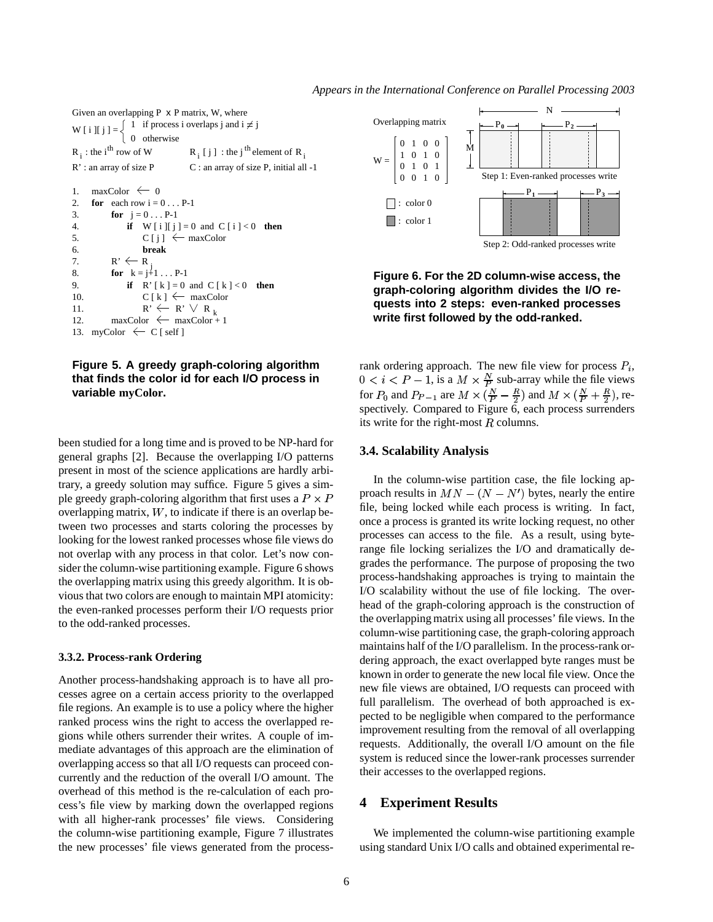```
9. if R'[k] = 0 and C[k] < 0 then
8. for k = j+1...P-17. R' \leftarrow R.
6. break
5. C [j] \leftarrow maxColor13. myColor \leftarrow C [ self ]
12. maxColor \leftarrow maxColor + 1
11. R' \leftarrow R' \vee R_k10. C [k] \leftarrow maxColorR_i [j] : the j<sup>th</sup> element of R_iR' : an array of size P C : an array of size P, initial all -1
            0 otherwise
W [ i ][ j ] = \begin{cases} 1 & \text{if process } i \text{ overlaps } j \text{ and } i \neq j \end{cases}Given an overlapping P x P matrix, W, where
R<sub>i</sub>: the i<sup>th</sup> row of W
4. if W[i][j] = 0 and C[i] < 0 then
3. for i = 0 ... P-12. for each row i = 0 \dots P-11. maxColor \leftarrow 0
```
**Figure 5. A greedy graph-coloring algorithm that finds the color id for each I/O process in variable myColor.**

been studied for a long time and is proved to be NP-hard for general graphs [2]. Because the overlapping I/O patterns present in most of the science applications are hardly arbitrary, a greedy solution may suffice. Figure 5 gives a simple greedy graph-coloring algorithm that first uses a  $P \times$ overlapping matrix,  $W$ , to indicate if there is an overlap between two processes and starts coloring the processes by looking for the lowest ranked processes whose file views do not overlap with any process in that color. Let's now consider the column-wise partitioning example. Figure 6 shows the overlapping matrix using this greedy algorithm. It is obvious that two colors are enough to maintain MPI atomicity: the even-ranked processes perform their I/O requests prior to the odd-ranked processes.

#### **3.3.2. Process-rank Ordering**

Another process-handshaking approach is to have all processes agree on a certain access priority to the overlapped file regions. An example is to use a policy where the higher ranked process wins the right to access the overlapped regions while others surrender their writes. A couple of immediate advantages of this approach are the elimination of overlapping access so that all I/O requests can proceed concurrently and the reduction of the overall I/O amount. The overhead of this method is the re-calculation of each process's file view by marking down the overlapped regions with all higher-rank processes' file views. Considering the column-wise partitioning example, Figure 7 illustrates the new processes' file views generated from the process-



Step 2: Odd-ranked processes write

**Figure 6. For the 2D column-wise access, the graph-coloring algorithm divides the I/O requests into 2 steps: even-ranked processes write first followed by the odd-ranked.**

rank ordering approach. The new file view for process  $P_i$ ,  $0 \lt i \lt P - 1$ , is a  $M \times \frac{N}{P}$  sub-array while the file views for  $P_0$  and  $P_{P-1}$  are  $M \times (\frac{N}{P} - \frac{R}{2})$  and  $M \times (\frac{N}{P} + \frac{R}{2})$ , respectively. Compared to Figure 6, each process surrenders its write for the right-most  $R$  columns.

### **3.4. Scalability Analysis**

 file, being locked while each process is writing. In fact, In the column-wise partition case, the file locking approach results in  $MN - (N - N')$  bytes, nearly the entire once a process is granted its write locking request, no other processes can access to the file. As a result, using byterange file locking serializes the I/O and dramatically degrades the performance. The purpose of proposing the two process-handshaking approaches is trying to maintain the I/O scalability without the use of file locking. The overhead of the graph-coloring approach is the construction of the overlapping matrix using all processes' file views. In the column-wise partitioning case, the graph-coloring approach maintains half of the I/O parallelism. In the process-rank ordering approach, the exact overlapped byte ranges must be known in order to generate the new local file view. Once the new file views are obtained, I/O requests can proceed with full parallelism. The overhead of both approached is expected to be negligible when compared to the performance improvement resulting from the removal of all overlapping requests. Additionally, the overall I/O amount on the file system is reduced since the lower-rank processes surrender their accesses to the overlapped regions.

#### **4 Experiment Results**

We implemented the column-wise partitioning example using standard Unix I/O calls and obtained experimental re-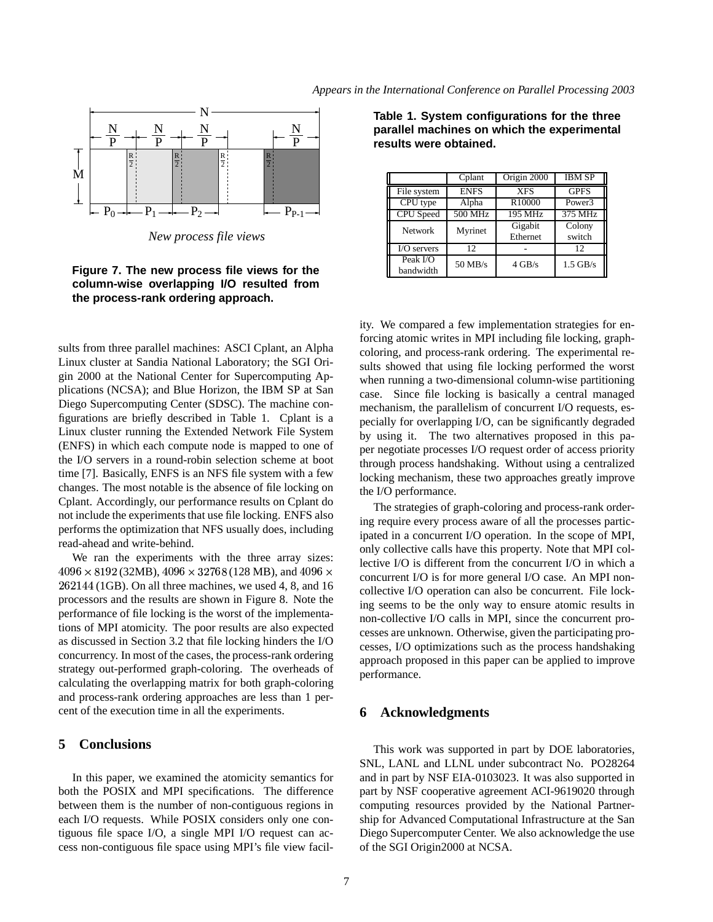

*New process file views*



sults from three parallel machines: ASCI Cplant, an Alpha Linux cluster at Sandia National Laboratory; the SGI Origin 2000 at the National Center for Supercomputing Applications (NCSA); and Blue Horizon, the IBM SP at San Diego Supercomputing Center (SDSC). The machine configurations are briefly described in Table 1. Cplant is a Linux cluster running the Extended Network File System (ENFS) in which each compute node is mapped to one of the I/O servers in a round-robin selection scheme at boot time [7]. Basically, ENFS is an NFS file system with a few changes. The most notable is the absence of file locking on Cplant. Accordingly, our performance results on Cplant do not include the experiments that use file locking. ENFS also performs the optimization that NFS usually does, including read-ahead and write-behind.

We ran the experiments with the three array sizes:  $4096 \times 8192$  (32MB),  $4096 \times 32768$  (128 MB), and  $4096 \times$  $262144$  (1GB). On all three machines, we used 4, 8, and 16 processors and the results are shown in Figure 8. Note the performance of file locking is the worst of the implementations of MPI atomicity. The poor results are also expected as discussed in Section 3.2 that file locking hinders the I/O concurrency. In most of the cases, the process-rank ordering strategy out-performed graph-coloring. The overheads of calculating the overlapping matrix for both graph-coloring and process-rank ordering approaches are less than 1 percent of the execution time in all the experiments.

# **5 Conclusions**

In this paper, we examined the atomicity semantics for both the POSIX and MPI specifications. The difference between them is the number of non-contiguous regions in each I/O requests. While POSIX considers only one contiguous file space I/O, a single MPI I/O request can access non-contiguous file space using MPI's file view facil**Table 1. System configurations for the three parallel machines on which the experimental results were obtained.**

|                       | Cplant      | Origin 2000         | <b>IBM SP</b>    |
|-----------------------|-------------|---------------------|------------------|
| File system           | <b>ENFS</b> | <b>XFS</b>          | <b>GPFS</b>      |
| CPU type              | Alpha       | R10000              | Power3           |
| <b>CPU</b> Speed      | 500 MHz     | 195 MHz             | 375 MHz          |
| Network               | Myrinet     | Gigabit<br>Ethernet | Colony<br>switch |
| $I/O$ servers         | 12.         |                     | 12               |
| Peak I/O<br>bandwidth | $50$ MB/s   | $4$ GB/s            | $1.5$ GB/s       |

ity. We compared a few implementation strategies for enforcing atomic writes in MPI including file locking, graphcoloring, and process-rank ordering. The experimental results showed that using file locking performed the worst when running a two-dimensional column-wise partitioning case. Since file locking is basically a central managed mechanism, the parallelism of concurrent I/O requests, especially for overlapping I/O, can be significantly degraded by using it. The two alternatives proposed in this paper negotiate processes I/O request order of access priority through process handshaking. Without using a centralized locking mechanism, these two approaches greatly improve the I/O performance.

 lective I/O is different from the concurrent I/O in which a concurrent I/O is for more general I/O case. An MPI non-The strategies of graph-coloring and process-rank ordering require every process aware of all the processes participated in a concurrent I/O operation. In the scope of MPI, only collective calls have this property. Note that MPI colcollective I/O operation can also be concurrent. File locking seems to be the only way to ensure atomic results in non-collective I/O calls in MPI, since the concurrent processes are unknown. Otherwise, given the participating processes, I/O optimizations such as the process handshaking approach proposed in this paper can be applied to improve performance.

## **6 Acknowledgments**

This work was supported in part by DOE laboratories, SNL, LANL and LLNL under subcontract No. PO28264 and in part by NSF EIA-0103023. It was also supported in part by NSF cooperative agreement ACI-9619020 through computing resources provided by the National Partnership for Advanced Computational Infrastructure at the San Diego Supercomputer Center. We also acknowledge the use of the SGI Origin2000 at NCSA.